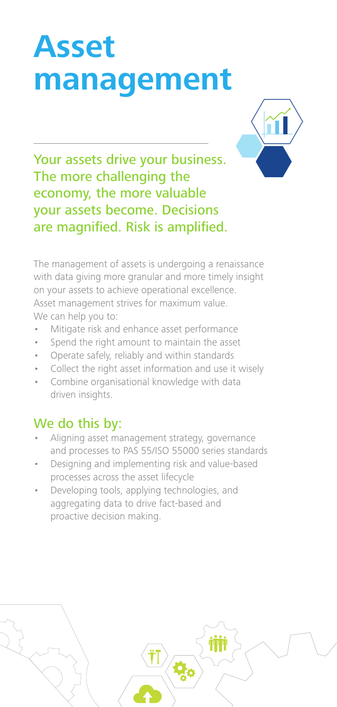# **Asset management**



Your assets drive your business. The more challenging the economy, the more valuable your assets become. Decisions are magnified. Risk is amplified.

The management of assets is undergoing a renaissance with data giving more granular and more timely insight on your assets to achieve operational excellence. Asset management strives for maximum value. We can help you to:

- Mitigate risk and enhance asset performance
- Spend the right amount to maintain the asset
- Operate safely, reliably and within standards
- Collect the right asset information and use it wisely
- Combine organisational knowledge with data driven insights.

- Aligning asset management strategy, governance and processes to PAS 55/ISO 55000 series standards
- Designing and implementing risk and value-based processes across the asset lifecycle
- Developing tools, applying technologies, and aggregating data to drive fact-based and proactive decision making.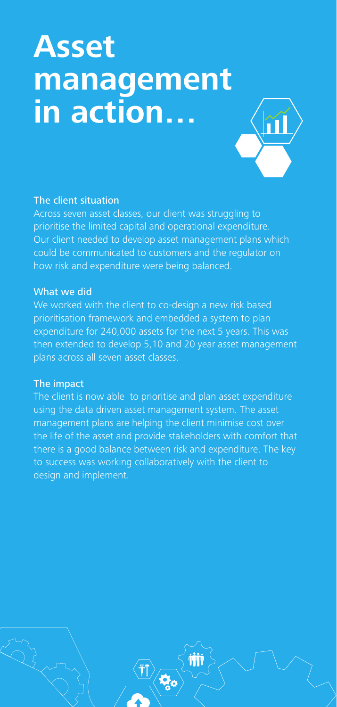## **Asset management in action…**



## The client situation

Across seven asset classes, our client was struggling to prioritise the limited capital and operational expenditure. Our client needed to develop asset management plans which could be communicated to customers and the regulator on how risk and expenditure were being balanced.

### What we did

We worked with the client to co-design a new risk based prioritisation framework and embedded a system to plan expenditure for 240,000 assets for the next 5 years. This was then extended to develop 5,10 and 20 year asset management plans across all seven asset classes.

## The impact

The client is now able to prioritise and plan asset expenditure using the data driven asset management system. The asset management plans are helping the client minimise cost over the life of the asset and provide stakeholders with comfort that there is a good balance between risk and expenditure. The key to success was working collaboratively with the client to design and implement.

 $\mathbf{Q}_\mathbf{c}$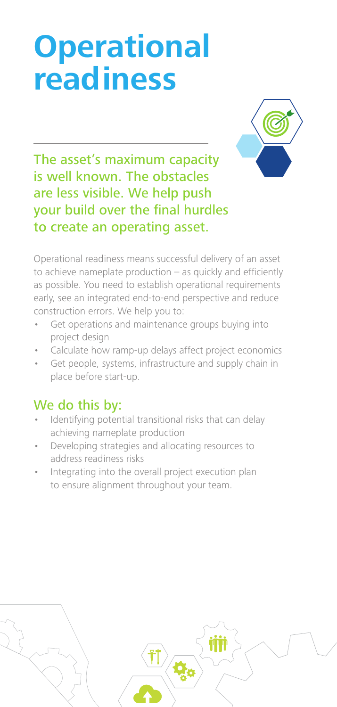# **Operational readiness**



The asset's maximum capacity is well known. The obstacles are less visible. We help push your build over the final hurdles to create an operating asset.

Operational readiness means successful delivery of an asset to achieve nameplate production  $-$  as quickly and efficiently as possible. You need to establish operational requirements early, see an integrated end-to-end perspective and reduce construction errors. We help you to:

- Get operations and maintenance groups buying into project design
- Calculate how ramp-up delays affect project economics
- Get people, systems, infrastructure and supply chain in place before start-up.

- Identifying potential transitional risks that can delay achieving nameplate production
- Developing strategies and allocating resources to address readiness risks
- Integrating into the overall project execution plan to ensure alignment throughout your team.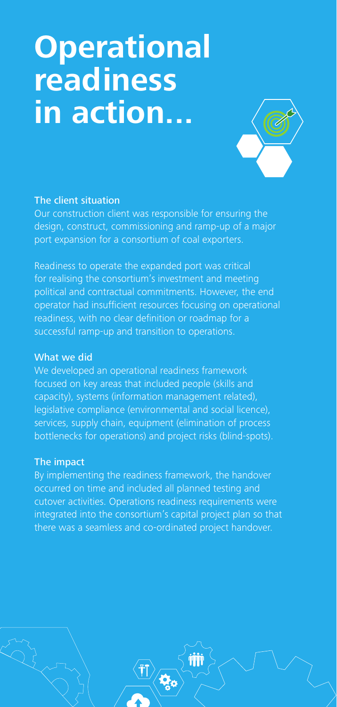# **Operational readiness in action...**



## The client situation

Our construction client was responsible for ensuring the design, construct, commissioning and ramp-up of a major port expansion for a consortium of coal exporters.

Readiness to operate the expanded port was critical for realising the consortium's investment and meeting political and contractual commitments. However, the end operator had insufficient resources focusing on operational readiness, with no clear definition or roadmap for a successful ramp-up and transition to operations.

#### What we did

We developed an operational readiness framework focused on key areas that included people (skills and capacity), systems (information management related), legislative compliance (environmental and social licence), services, supply chain, equipment (elimination of process bottlenecks for operations) and project risks (blind-spots).

#### The impact

By implementing the readiness framework, the handover occurred on time and included all planned testing and cutover activities. Operations readiness requirements were integrated into the consortium's capital project plan so that there was a seamless and co-ordinated project handover.

i<br>Qo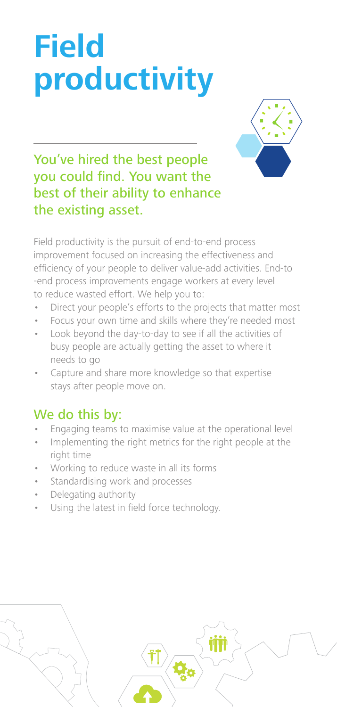# **Field productivity**



## You've hired the best people you could find. You want the best of their ability to enhance the existing asset.

Field productivity is the pursuit of end-to-end process improvement focused on increasing the effectiveness and efficiency of your people to deliver value-add activities. End-to -end process improvements engage workers at every level to reduce wasted effort. We help you to:

- Direct your people's efforts to the projects that matter most
- Focus your own time and skills where they're needed most
- Look beyond the day-to-day to see if all the activities of busy people are actually getting the asset to where it needs to go
- Capture and share more knowledge so that expertise stays after people move on.

- Engaging teams to maximise value at the operational level
- Implementing the right metrics for the right people at the right time
- Working to reduce waste in all its forms
- Standardising work and processes
- Delegating authority
- Using the latest in field force technology.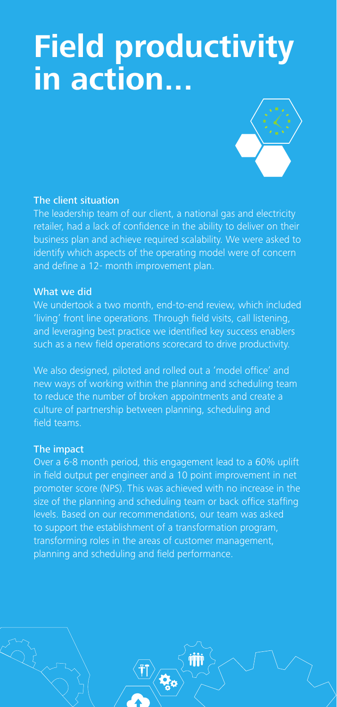## **Field productivity in action...**



## The client situation

The leadership team of our client, a national gas and electricity retailer, had a lack of confidence in the ability to deliver on their business plan and achieve required scalability. We were asked to identify which aspects of the operating model were of concern and define a 12- month improvement plan.

#### What we did

We undertook a two month, end-to-end review, which included 'living' front line operations. Through field visits, call listening, and leveraging best practice we identified key success enablers such as a new field operations scorecard to drive productivity.

We also designed, piloted and rolled out a 'model office' and new ways of working within the planning and scheduling team to reduce the number of broken appointments and create a culture of partnership between planning, scheduling and field teams.

#### The impact

Over a 6-8 month period, this engagement lead to a 60% uplift in field output per engineer and a 10 point improvement in net promoter score (NPS). This was achieved with no increase in the size of the planning and scheduling team or back office staffing levels. Based on our recommendations, our team was asked to support the establishment of a transformation program, transforming roles in the areas of customer management, planning and scheduling and field performance.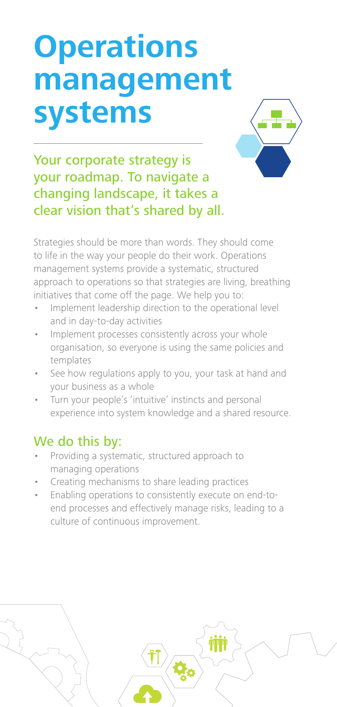# **Operations management systems**



Your corporate strategy is your roadmap. To navigate a changing landscape, it takes a clear vision that's shared by all.

Strategies should be more than words. They should come to life in the way your people do their work. Operations management systems provide a systematic, structured approach to operations so that strategies are living, breathing initiatives that come off the page. We help you to:

- Implement leadership direction to the operational level and in day-to-day activities
- Implement processes consistently across your whole organisation, so everyone is using the same policies and templates
- See how regulations apply to you, your task at hand and your business as a whole
- Turn your people's 'intuitive' instincts and personal experience into system knowledge and a shared resource.

- Providing a systematic, structured approach to managing operations
- Creating mechanisms to share leading practices
- Enabling operations to consistently execute on end-toend processes and effectively manage risks, leading to a culture of continuous improvement.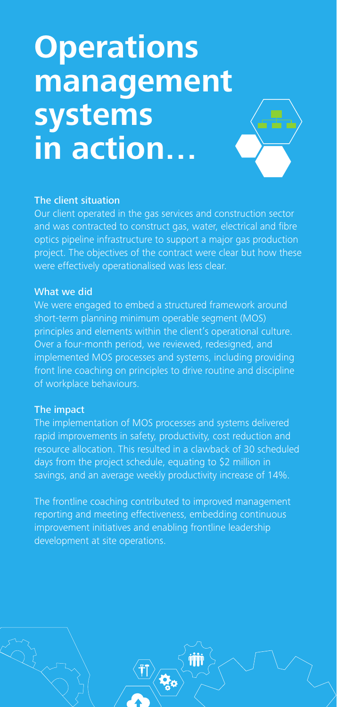# **Operations management systems in action…**



## The client situation

Our client operated in the gas services and construction sector and was contracted to construct gas, water, electrical and fibre optics pipeline infrastructure to support a major gas production project. The objectives of the contract were clear but how these were effectively operationalised was less clear.

#### What we did

We were engaged to embed a structured framework around short-term planning minimum operable segment (MOS) principles and elements within the client's operational culture. Over a four-month period, we reviewed, redesigned, and implemented MOS processes and systems, including providing front line coaching on principles to drive routine and discipline of workplace behaviours.

### The impact

The implementation of MOS processes and systems delivered rapid improvements in safety, productivity, cost reduction and resource allocation. This resulted in a clawback of 30 scheduled days from the project schedule, equating to \$2 million in savings, and an average weekly productivity increase of 14%.

The frontline coaching contributed to improved management reporting and meeting effectiveness, embedding continuous improvement initiatives and enabling frontline leadership development at site operations.

i.<br>Ma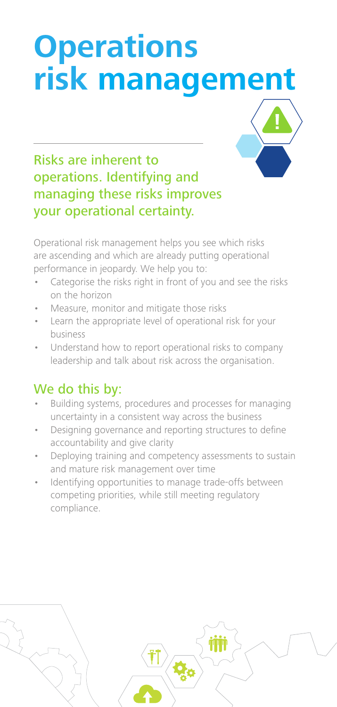# **Operations risk management**



## Risks are inherent to operations. Identifying and managing these risks improves your operational certainty.

Operational risk management helps you see which risks are ascending and which are already putting operational performance in jeopardy. We help you to:

- Categorise the risks right in front of you and see the risks on the horizon
- Measure, monitor and mitigate those risks
- Learn the appropriate level of operational risk for your business
- Understand how to report operational risks to company leadership and talk about risk across the organisation.

- Building systems, procedures and processes for managing uncertainty in a consistent way across the business
- Designing governance and reporting structures to define accountability and give clarity
- Deploying training and competency assessments to sustain and mature risk management over time
- Identifying opportunities to manage trade-offs between competing priorities, while still meeting regulatory compliance.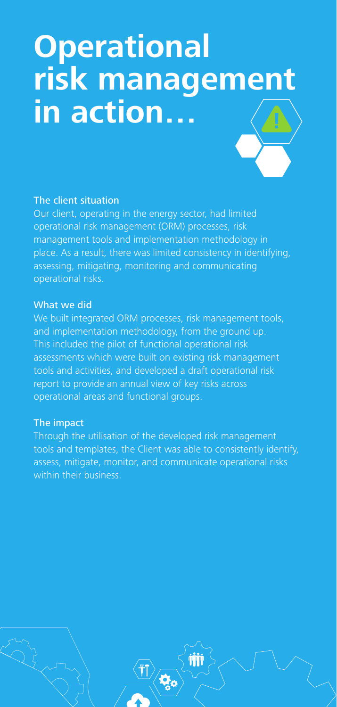# **Operational risk management in action…**



## The client situation

Our client, operating in the energy sector, had limited operational risk management (ORM) processes, risk management tools and implementation methodology in place. As a result, there was limited consistency in identifying, assessing, mitigating, monitoring and communicating operational risks.

## What we did

We built integrated ORM processes, risk management tools, and implementation methodology, from the ground up. This included the pilot of functional operational risk assessments which were built on existing risk management tools and activities, and developed a draft operational risk report to provide an annual view of key risks across operational areas and functional groups.

## The impact

Through the utilisation of the developed risk management tools and templates, the Client was able to consistently identify, assess, mitigate, monitor, and communicate operational risks within their business.

 $\mathbf{Q}_\mathbf{c}$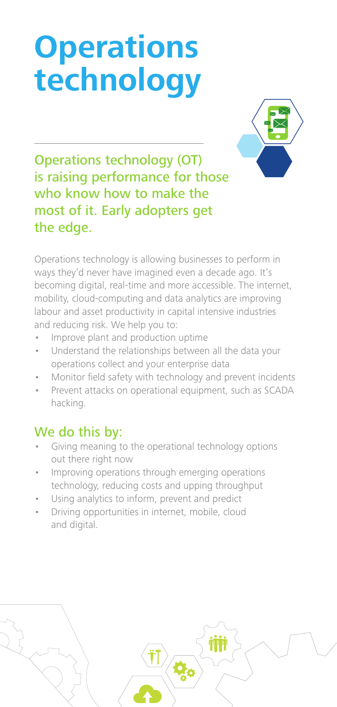# **Operations technology**



## Operations technology (OT) is raising performance for those who know how to make the most of it. Early adopters get the edge.

Operations technology is allowing businesses to perform in ways they'd never have imagined even a decade ago. It's becoming digital, real-time and more accessible. The internet, mobility, cloud-computing and data analytics are improving labour and asset productivity in capital intensive industries and reducing risk. We help you to:

- Improve plant and production uptime
- Understand the relationships between all the data your operations collect and your enterprise data
- Monitor field safety with technology and prevent incidents
- Prevent attacks on operational equipment, such as SCADA hacking.

- Giving meaning to the operational technology options out there right now
- Improving operations through emerging operations technology, reducing costs and upping throughput
- Using analytics to inform, prevent and predict
- Driving opportunities in internet, mobile, cloud and digital.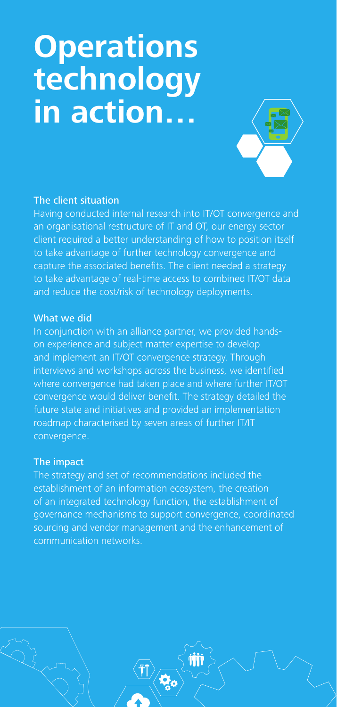# **Operations technology in action…**



## The client situation

Having conducted internal research into IT/OT convergence and an organisational restructure of IT and OT, our energy sector client required a better understanding of how to position itself to take advantage of further technology convergence and capture the associated benefits. The client needed a strategy to take advantage of real-time access to combined IT/OT data and reduce the cost/risk of technology deployments.

#### What we did

In conjunction with an alliance partner, we provided handson experience and subject matter expertise to develop and implement an IT/OT convergence strategy. Through interviews and workshops across the business, we identified where convergence had taken place and where further IT/OT convergence would deliver benefit. The strategy detailed the future state and initiatives and provided an implementation roadmap characterised by seven areas of further IT/IT convergence.

#### The impact

The strategy and set of recommendations included the establishment of an information ecosystem, the creation of an integrated technology function, the establishment of governance mechanisms to support convergence, coordinated sourcing and vendor management and the enhancement of communication networks.

 $\boldsymbol{\phi}_{\rm c}$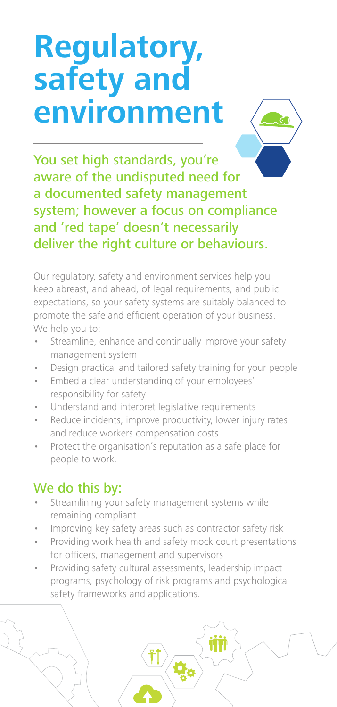# **Regulatory, safety and environment**



You set high standards, you're aware of the undisputed need for a documented safety management system; however a focus on compliance and 'red tape' doesn't necessarily deliver the right culture or behaviours.

Our regulatory, safety and environment services help you keep abreast, and ahead, of legal requirements, and public expectations, so your safety systems are suitably balanced to promote the safe and efficient operation of your business. We help you to:

- Streamline, enhance and continually improve your safety management system
- Design practical and tailored safety training for your people
- Embed a clear understanding of your employees' responsibility for safety
- Understand and interpret legislative requirements
- Reduce incidents, improve productivity, lower injury rates and reduce workers compensation costs
- Protect the organisation's reputation as a safe place for people to work.

- Streamlining your safety management systems while remaining compliant
- Improving key safety areas such as contractor safety risk
- Providing work health and safety mock court presentations for officers, management and supervisors
- Providing safety cultural assessments, leadership impact programs, psychology of risk programs and psychological safety frameworks and applications.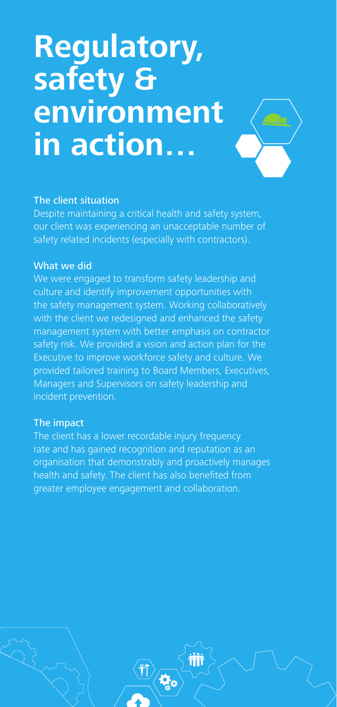## **Regulatory, safety & environment in action…**



### The client situation

Despite maintaining a critical health and safety system, our client was experiencing an unacceptable number of safety related incidents (especially with contractors).

### What we did

We were engaged to transform safety leadership and culture and identify improvement opportunities with the safety management system. Working collaboratively with the client we redesigned and enhanced the safety management system with better emphasis on contractor safety risk. We provided a vision and action plan for the Executive to improve workforce safety and culture. We provided tailored training to Board Members, Executives, Managers and Supervisors on safety leadership and incident prevention.

#### The impact

The client has a lower recordable injury frequency rate and has gained recognition and reputation as an organisation that demonstrably and proactively manages health and safety. The client has also benefited from greater employee engagement and collaboration.

i.<br>Ma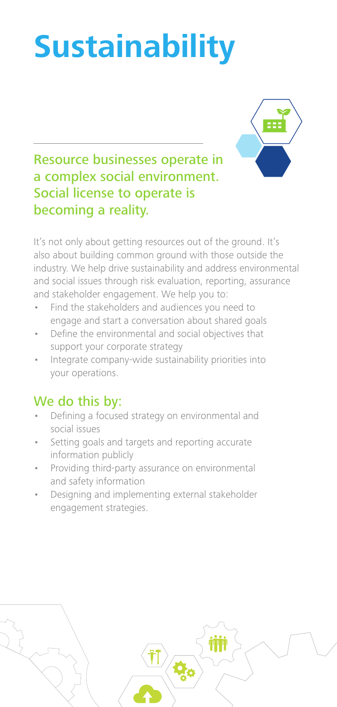# **Sustainability**



Resource businesses operate in a complex social environment. Social license to operate is becoming a reality.

It's not only about getting resources out of the ground. It's also about building common ground with those outside the industry. We help drive sustainability and address environmental and social issues through risk evaluation, reporting, assurance and stakeholder engagement. We help you to:

- Find the stakeholders and audiences you need to engage and start a conversation about shared goals
- Define the environmental and social objectives that support your corporate strategy
- Integrate company-wide sustainability priorities into your operations.

- Defining a focused strategy on environmental and social issues
- Setting goals and targets and reporting accurate information publicly
- Providing third-party assurance on environmental and safety information
- Designing and implementing external stakeholder engagement strategies.